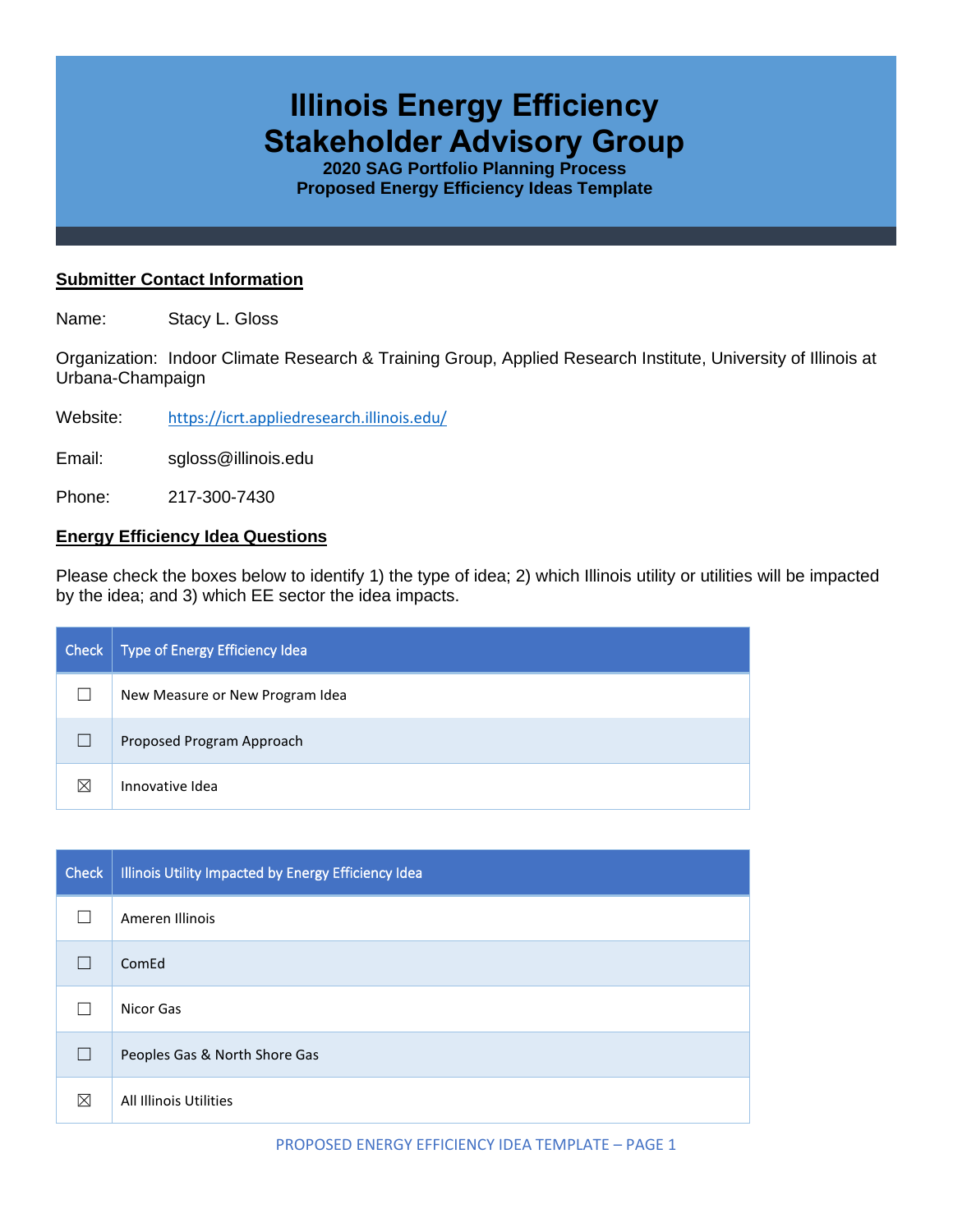# **Illinois Energy Efficiency Stakeholder Advisory Group**

**2020 SAG Portfolio Planning Process Proposed Energy Efficiency Ideas Template**

#### **Submitter Contact Information**

Name: Stacy L. Gloss

Organization: Indoor Climate Research & Training Group, Applied Research Institute, University of Illinois at Urbana-Champaign

Website: <https://icrt.appliedresearch.illinois.edu/>

Email: sgloss@illinois.edu

Phone: 217-300-7430

### **Energy Efficiency Idea Questions**

Please check the boxes below to identify 1) the type of idea; 2) which Illinois utility or utilities will be impacted by the idea; and 3) which EE sector the idea impacts.

| Check | Type of Energy Efficiency Idea  |
|-------|---------------------------------|
|       | New Measure or New Program Idea |
|       | Proposed Program Approach       |
| M     | Innovative Idea                 |

| <b>Check</b> | Illinois Utility Impacted by Energy Efficiency Idea |
|--------------|-----------------------------------------------------|
|              | Ameren Illinois                                     |
|              | ComEd                                               |
|              | Nicor Gas                                           |
| $\mathbf{I}$ | Peoples Gas & North Shore Gas                       |
| ⊠            | All Illinois Utilities                              |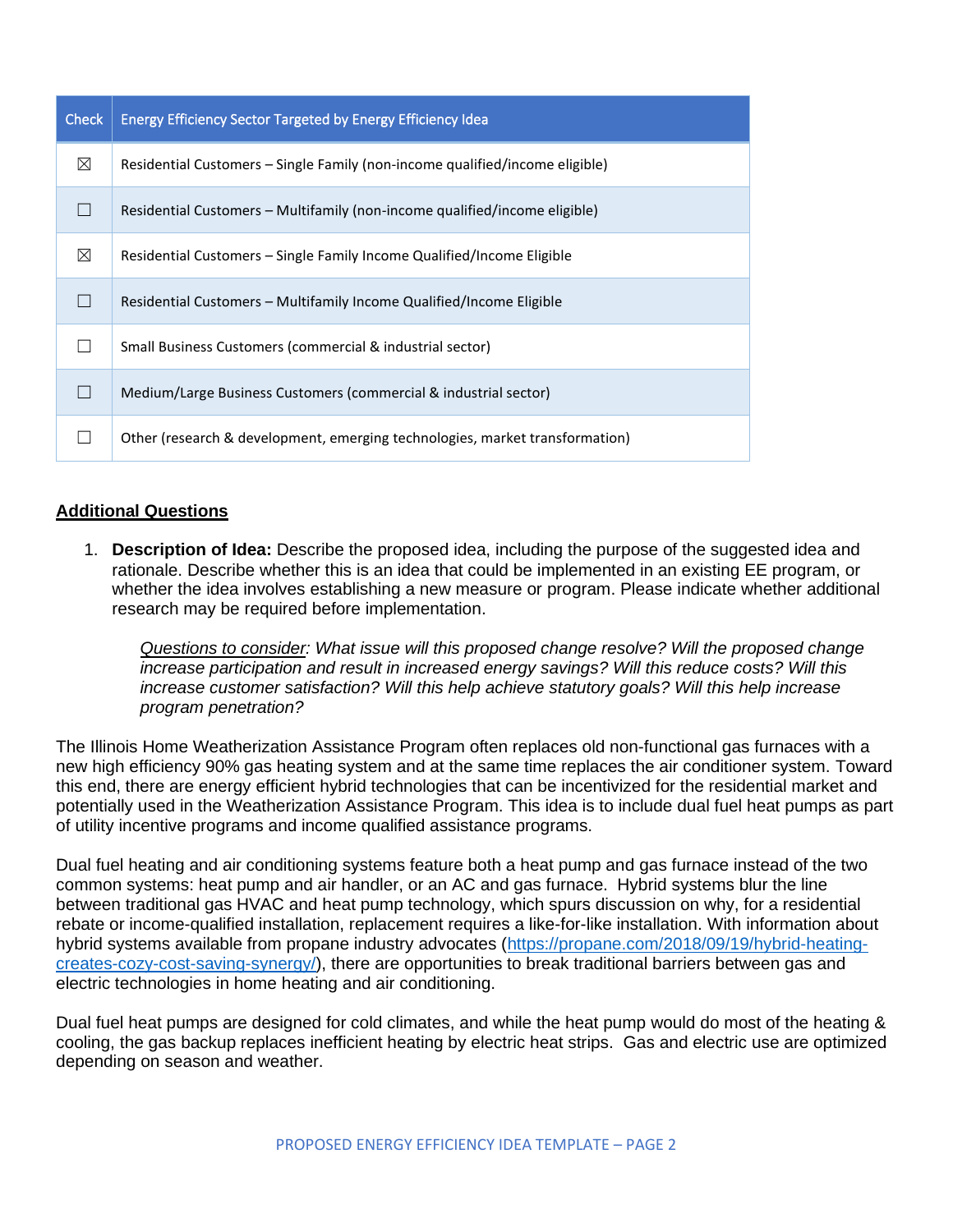| <b>Check</b> | Energy Efficiency Sector Targeted by Energy Efficiency Idea                  |
|--------------|------------------------------------------------------------------------------|
| $\boxtimes$  | Residential Customers – Single Family (non-income qualified/income eligible) |
|              | Residential Customers - Multifamily (non-income qualified/income eligible)   |
| ⊠            | Residential Customers - Single Family Income Qualified/Income Eligible       |
|              | Residential Customers – Multifamily Income Qualified/Income Eligible         |
|              | Small Business Customers (commercial & industrial sector)                    |
|              | Medium/Large Business Customers (commercial & industrial sector)             |
|              | Other (research & development, emerging technologies, market transformation) |

### **Additional Questions**

1. **Description of Idea:** Describe the proposed idea, including the purpose of the suggested idea and rationale. Describe whether this is an idea that could be implemented in an existing EE program, or whether the idea involves establishing a new measure or program. Please indicate whether additional research may be required before implementation.

*Questions to consider: What issue will this proposed change resolve? Will the proposed change increase participation and result in increased energy savings? Will this reduce costs? Will this increase customer satisfaction? Will this help achieve statutory goals? Will this help increase program penetration?* 

The Illinois Home Weatherization Assistance Program often replaces old non-functional gas furnaces with a new high efficiency 90% gas heating system and at the same time replaces the air conditioner system. Toward this end, there are energy efficient hybrid technologies that can be incentivized for the residential market and potentially used in the Weatherization Assistance Program. This idea is to include dual fuel heat pumps as part of utility incentive programs and income qualified assistance programs.

Dual fuel heating and air conditioning systems feature both a heat pump and gas furnace instead of the two common systems: heat pump and air handler, or an AC and gas furnace. Hybrid systems blur the line between traditional gas HVAC and heat pump technology, which spurs discussion on why, for a residential rebate or income-qualified installation, replacement requires a like-for-like installation. With information about hybrid systems available from propane industry advocates [\(https://propane.com/2018/09/19/hybrid-heating](https://propane.com/2018/09/19/hybrid-heating-creates-cozy-cost-saving-synergy/)[creates-cozy-cost-saving-synergy/\)](https://propane.com/2018/09/19/hybrid-heating-creates-cozy-cost-saving-synergy/), there are opportunities to break traditional barriers between gas and electric technologies in home heating and air conditioning.

Dual fuel heat pumps are designed for cold climates, and while the heat pump would do most of the heating & cooling, the gas backup replaces inefficient heating by electric heat strips. Gas and electric use are optimized depending on season and weather.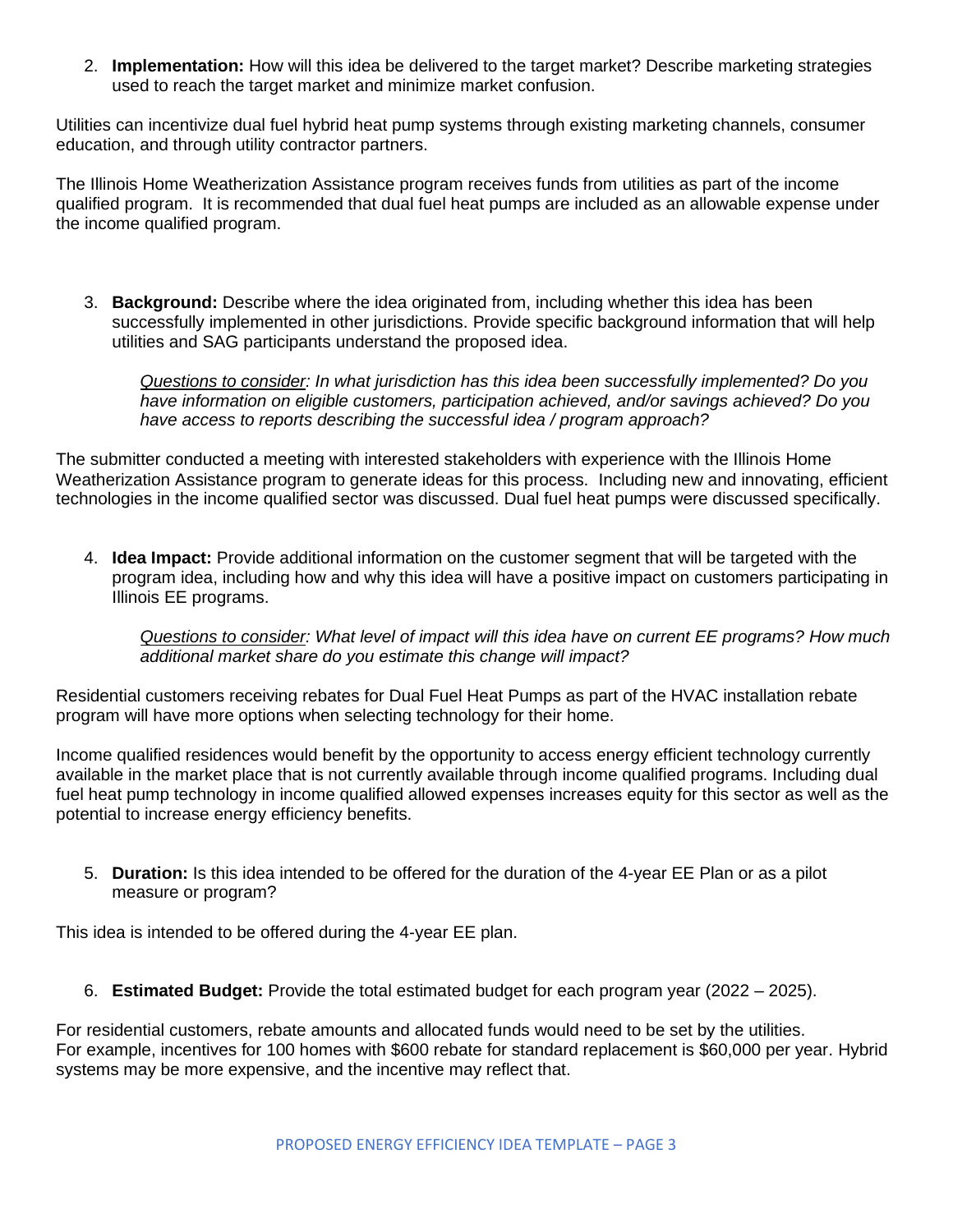2. **Implementation:** How will this idea be delivered to the target market? Describe marketing strategies used to reach the target market and minimize market confusion.

Utilities can incentivize dual fuel hybrid heat pump systems through existing marketing channels, consumer education, and through utility contractor partners.

The Illinois Home Weatherization Assistance program receives funds from utilities as part of the income qualified program. It is recommended that dual fuel heat pumps are included as an allowable expense under the income qualified program.

3. **Background:** Describe where the idea originated from, including whether this idea has been successfully implemented in other jurisdictions. Provide specific background information that will help utilities and SAG participants understand the proposed idea.

*Questions to consider: In what jurisdiction has this idea been successfully implemented? Do you have information on eligible customers, participation achieved, and/or savings achieved? Do you have access to reports describing the successful idea / program approach?* 

The submitter conducted a meeting with interested stakeholders with experience with the Illinois Home Weatherization Assistance program to generate ideas for this process. Including new and innovating, efficient technologies in the income qualified sector was discussed. Dual fuel heat pumps were discussed specifically.

4. **Idea Impact:** Provide additional information on the customer segment that will be targeted with the program idea, including how and why this idea will have a positive impact on customers participating in Illinois EE programs.

*Questions to consider: What level of impact will this idea have on current EE programs? How much additional market share do you estimate this change will impact?*

Residential customers receiving rebates for Dual Fuel Heat Pumps as part of the HVAC installation rebate program will have more options when selecting technology for their home.

Income qualified residences would benefit by the opportunity to access energy efficient technology currently available in the market place that is not currently available through income qualified programs. Including dual fuel heat pump technology in income qualified allowed expenses increases equity for this sector as well as the potential to increase energy efficiency benefits.

5. **Duration:** Is this idea intended to be offered for the duration of the 4-year EE Plan or as a pilot measure or program?

This idea is intended to be offered during the 4-year EE plan.

6. **Estimated Budget:** Provide the total estimated budget for each program year (2022 – 2025).

For residential customers, rebate amounts and allocated funds would need to be set by the utilities. For example, incentives for 100 homes with \$600 rebate for standard replacement is \$60,000 per year. Hybrid systems may be more expensive, and the incentive may reflect that.